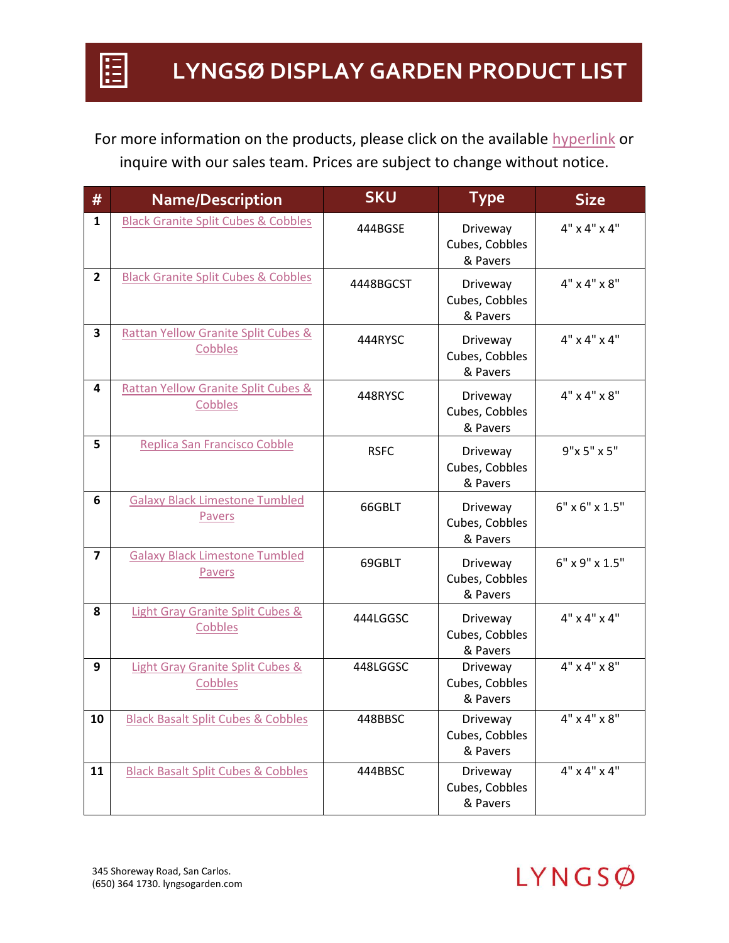For more information on the products, please click on the available hyperlink or inquire with our sales team. Prices are subject to change without notice.

| #              | <b>Name/Description</b>                                   | <b>SKU</b>  | <b>Type</b>                            | <b>Size</b>              |
|----------------|-----------------------------------------------------------|-------------|----------------------------------------|--------------------------|
| $\mathbf{1}$   | <b>Black Granite Split Cubes &amp; Cobbles</b>            | 444BGSE     | Driveway<br>Cubes, Cobbles<br>& Pavers | $4" \times 4" \times 4"$ |
| $\overline{2}$ | <b>Black Granite Split Cubes &amp; Cobbles</b>            | 4448BGCST   | Driveway<br>Cubes, Cobbles<br>& Pavers | $4" \times 4" \times 8"$ |
| 3              | <b>Rattan Yellow Granite Split Cubes &amp;</b><br>Cobbles | 444RYSC     | Driveway<br>Cubes, Cobbles<br>& Pavers | $4" \times 4" \times 4"$ |
| 4              | <b>Rattan Yellow Granite Split Cubes &amp;</b><br>Cobbles | 448RYSC     | Driveway<br>Cubes, Cobbles<br>& Pavers | $4" \times 4" \times 8"$ |
| 5              | Replica San Francisco Cobble                              | <b>RSFC</b> | Driveway<br>Cubes, Cobbles<br>& Pavers | 9"x 5" x 5"              |
| 6              | <b>Galaxy Black Limestone Tumbled</b><br>Pavers           | 66GBLT      | Driveway<br>Cubes, Cobbles<br>& Pavers | 6" x 6" x 1.5"           |
| $\overline{7}$ | <b>Galaxy Black Limestone Tumbled</b><br>Pavers           | 69GBLT      | Driveway<br>Cubes, Cobbles<br>& Pavers | 6" x 9" x 1.5"           |
| 8              | <b>Light Gray Granite Split Cubes &amp;</b><br>Cobbles    | 444LGGSC    | Driveway<br>Cubes, Cobbles<br>& Pavers | $4" \times 4" \times 4"$ |
| 9              | <b>Light Gray Granite Split Cubes &amp;</b><br>Cobbles    | 448LGGSC    | Driveway<br>Cubes, Cobbles<br>& Pavers | $4" \times 4" \times 8"$ |
| 10             | <b>Black Basalt Split Cubes &amp; Cobbles</b>             | 448BBSC     | Driveway<br>Cubes, Cobbles<br>& Pavers | $4" \times 4" \times 8"$ |
| 11             | <b>Black Basalt Split Cubes &amp; Cobbles</b>             | 444BBSC     | Driveway<br>Cubes, Cobbles<br>& Pavers | $4" \times 4" \times 4"$ |

E

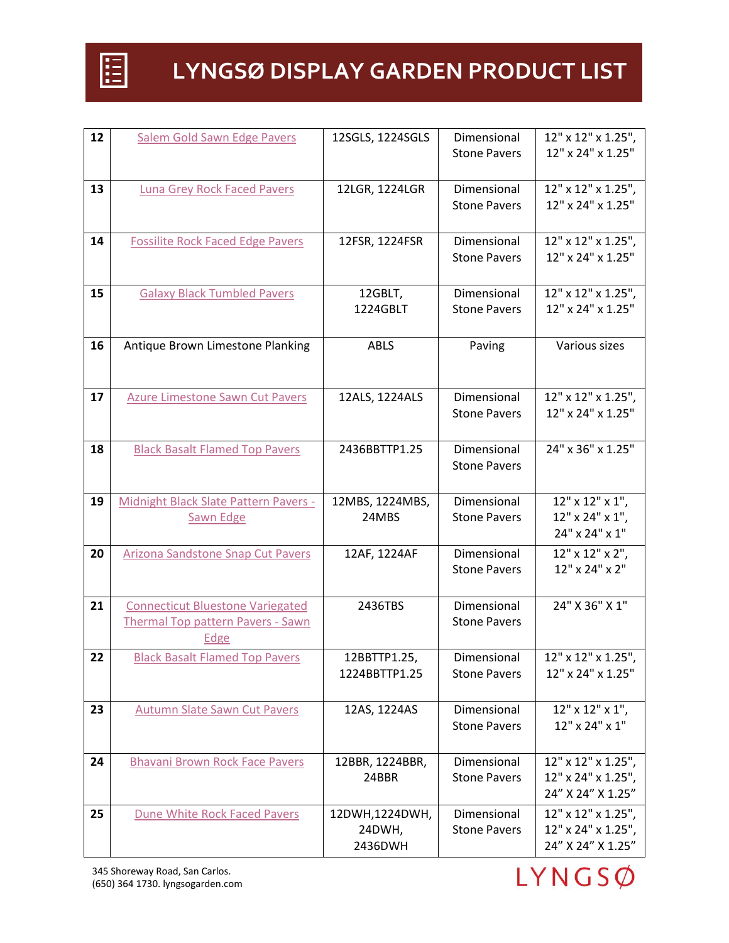

| 12 | Salem Gold Sawn Edge Pavers              | 12SGLS, 1224SGLS         | Dimensional         | 12" x 12" x 1.25",                      |
|----|------------------------------------------|--------------------------|---------------------|-----------------------------------------|
|    |                                          |                          | <b>Stone Pavers</b> | 12" x 24" x 1.25"                       |
|    |                                          |                          |                     |                                         |
| 13 | <b>Luna Grey Rock Faced Pavers</b>       | 12LGR, 1224LGR           | Dimensional         | 12" x 12" x 1.25",                      |
|    |                                          |                          | <b>Stone Pavers</b> | 12" x 24" x 1.25"                       |
|    |                                          |                          |                     |                                         |
| 14 | <b>Fossilite Rock Faced Edge Pavers</b>  | 12FSR, 1224FSR           | Dimensional         | 12" x 12" x 1.25",                      |
|    |                                          |                          | <b>Stone Pavers</b> | 12" x 24" x 1.25"                       |
|    |                                          |                          |                     |                                         |
| 15 | <b>Galaxy Black Tumbled Pavers</b>       | 12GBLT,                  | Dimensional         | 12" x 12" x 1.25",                      |
|    |                                          | 1224GBLT                 | <b>Stone Pavers</b> | 12" x 24" x 1.25"                       |
|    |                                          |                          |                     |                                         |
| 16 | Antique Brown Limestone Planking         | <b>ABLS</b>              | Paving              | Various sizes                           |
|    |                                          |                          |                     |                                         |
|    |                                          |                          |                     |                                         |
| 17 | <b>Azure Limestone Sawn Cut Pavers</b>   | 12ALS, 1224ALS           | Dimensional         | 12" x 12" x 1.25",                      |
|    |                                          |                          | <b>Stone Pavers</b> | 12" x 24" x 1.25"                       |
|    |                                          |                          |                     |                                         |
| 18 | <b>Black Basalt Flamed Top Pavers</b>    | 2436BBTTP1.25            | Dimensional         | 24" x 36" x 1.25"                       |
|    |                                          |                          | <b>Stone Pavers</b> |                                         |
|    |                                          |                          |                     |                                         |
| 19 | Midnight Black Slate Pattern Pavers -    | 12MBS, 1224MBS,          | Dimensional         | $12"$ x $12"$ x $1"$ ,                  |
|    | Sawn Edge                                | 24MBS                    | <b>Stone Pavers</b> | 12" x 24" x 1",                         |
|    |                                          |                          |                     | 24" x 24" x 1"                          |
| 20 | Arizona Sandstone Snap Cut Pavers        | 12AF, 1224AF             | Dimensional         | 12" x 12" x 2",                         |
|    |                                          |                          | <b>Stone Pavers</b> | 12" x 24" x 2"                          |
|    |                                          |                          |                     |                                         |
|    |                                          |                          |                     |                                         |
|    |                                          |                          |                     |                                         |
| 21 | <b>Connecticut Bluestone Variegated</b>  | 2436TBS                  | Dimensional         | 24" X 36" X 1"                          |
|    | <b>Thermal Top pattern Pavers - Sawn</b> |                          | <b>Stone Pavers</b> |                                         |
|    | Edge                                     |                          |                     |                                         |
| 22 | <b>Black Basalt Flamed Top Pavers</b>    | 12BBTTP1.25,             | Dimensional         | 12" x 12" x 1.25"                       |
|    |                                          | 1224BBTTP1.25            | <b>Stone Pavers</b> | 12" x 24" x 1.25"                       |
|    |                                          |                          |                     |                                         |
| 23 | <b>Autumn Slate Sawn Cut Pavers</b>      | 12AS, 1224AS             | Dimensional         | $12"$ x $12"$ x $1"$ ,                  |
|    |                                          |                          | <b>Stone Pavers</b> | 12" x 24" x 1"                          |
|    |                                          |                          |                     |                                         |
| 24 | <b>Bhavani Brown Rock Face Pavers</b>    | 12BBR, 1224BBR,<br>24BBR | Dimensional         | 12" x 12" x 1.25",                      |
|    |                                          |                          | <b>Stone Pavers</b> | 12" x 24" x 1.25",<br>24" X 24" X 1.25" |
|    |                                          |                          |                     |                                         |
| 25 | Dune White Rock Faced Pavers             | 12DWH,1224DWH,           | Dimensional         | 12" x 12" x 1.25",                      |
|    |                                          | 24DWH,<br>2436DWH        | <b>Stone Pavers</b> | 12" x 24" x 1.25",<br>24" X 24" X 1.25" |

345 Shoreway Road, San Carlos. (650) 364 1730. lyngsogarden.com

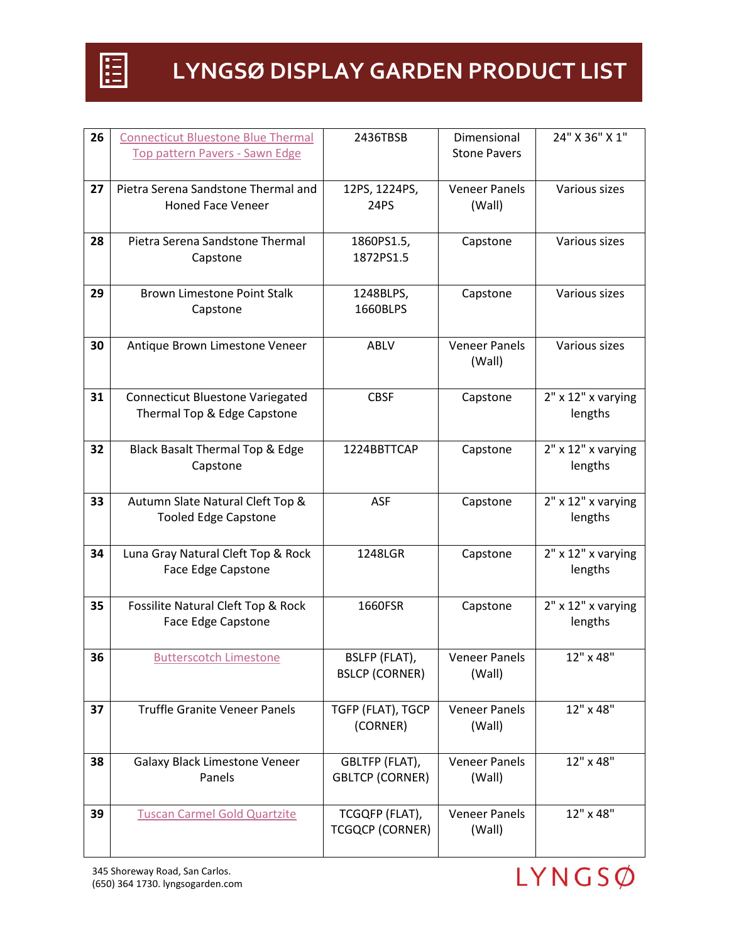

| 26 | <b>Connecticut Bluestone Blue Thermal</b>                       | 2436TBSB               | Dimensional          | 24" X 36" X 1"                    |
|----|-----------------------------------------------------------------|------------------------|----------------------|-----------------------------------|
|    | Top pattern Pavers - Sawn Edge                                  |                        | <b>Stone Pavers</b>  |                                   |
|    |                                                                 |                        |                      |                                   |
| 27 | Pietra Serena Sandstone Thermal and                             | 12PS, 1224PS,          | <b>Veneer Panels</b> | Various sizes                     |
|    | <b>Honed Face Veneer</b>                                        | <b>24PS</b>            | (Wall)               |                                   |
|    |                                                                 |                        |                      |                                   |
| 28 | Pietra Serena Sandstone Thermal                                 | 1860PS1.5,             | Capstone             | Various sizes                     |
|    | Capstone                                                        | 1872PS1.5              |                      |                                   |
|    |                                                                 |                        |                      |                                   |
| 29 | <b>Brown Limestone Point Stalk</b>                              | 1248BLPS,              | Capstone             | Various sizes                     |
|    | Capstone                                                        | 1660BLPS               |                      |                                   |
|    |                                                                 |                        |                      |                                   |
| 30 | Antique Brown Limestone Veneer                                  | ABLV                   | <b>Veneer Panels</b> | Various sizes                     |
|    |                                                                 |                        | (Wall)               |                                   |
|    |                                                                 |                        |                      |                                   |
| 31 | <b>Connecticut Bluestone Variegated</b>                         | <b>CBSF</b>            | Capstone             | $2"$ x $12"$ x varying            |
|    | Thermal Top & Edge Capstone                                     |                        |                      | lengths                           |
|    |                                                                 |                        |                      |                                   |
| 32 | Black Basalt Thermal Top & Edge                                 | 1224BBTTCAP            | Capstone             | $2"$ x $12"$ x varying            |
|    | Capstone                                                        |                        |                      | lengths                           |
|    |                                                                 |                        |                      |                                   |
| 33 | Autumn Slate Natural Cleft Top &<br><b>Tooled Edge Capstone</b> | <b>ASF</b>             | Capstone             | $2"$ x $12"$ x varying<br>lengths |
|    |                                                                 |                        |                      |                                   |
| 34 | Luna Gray Natural Cleft Top & Rock                              | 1248LGR                | Capstone             | $2"$ x $12"$ x varying            |
|    | Face Edge Capstone                                              |                        |                      | lengths                           |
|    |                                                                 |                        |                      |                                   |
| 35 | Fossilite Natural Cleft Top & Rock                              | 1660FSR                | Capstone             | $2"$ x $12"$ x varying            |
|    | Face Edge Capstone                                              |                        |                      | lengths                           |
|    |                                                                 |                        |                      |                                   |
| 36 | <b>Butterscotch Limestone</b>                                   | BSLFP (FLAT),          | <b>Veneer Panels</b> | 12" x 48"                         |
|    |                                                                 | <b>BSLCP (CORNER)</b>  | (Wall)               |                                   |
|    |                                                                 |                        |                      |                                   |
| 37 | <b>Truffle Granite Veneer Panels</b>                            | TGFP (FLAT), TGCP      | <b>Veneer Panels</b> | 12" x 48"                         |
|    |                                                                 | (CORNER)               | (Wall)               |                                   |
|    |                                                                 |                        |                      |                                   |
| 38 | Galaxy Black Limestone Veneer                                   | GBLTFP (FLAT),         | <b>Veneer Panels</b> | 12" x 48"                         |
|    | Panels                                                          | <b>GBLTCP (CORNER)</b> | (Wall)               |                                   |
|    |                                                                 |                        |                      |                                   |
| 39 | <b>Tuscan Carmel Gold Quartzite</b>                             | TCGQFP (FLAT),         | <b>Veneer Panels</b> | 12" x 48"                         |
|    |                                                                 | <b>TCGQCP (CORNER)</b> | (Wall)               |                                   |
|    |                                                                 |                        |                      |                                   |

345 Shoreway Road, San Carlos. (650) 364 1730. lyngsogarden.com

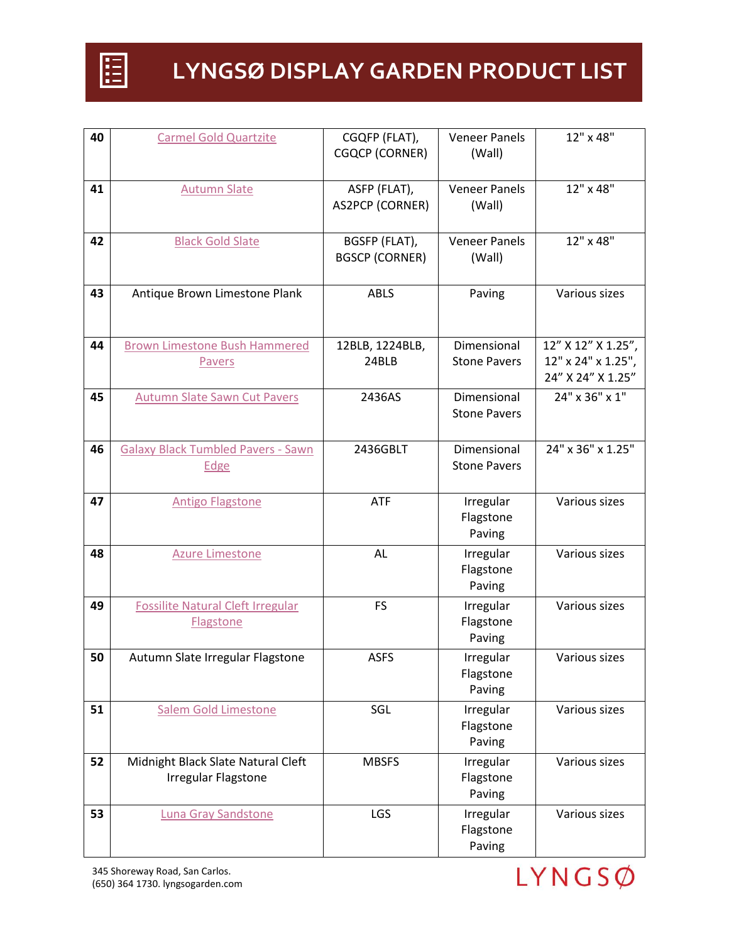

| 40 | <b>Carmel Gold Quartzite</b>              | CGQFP (FLAT),          | <b>Veneer Panels</b> | 12" x 48"          |
|----|-------------------------------------------|------------------------|----------------------|--------------------|
|    |                                           | <b>CGQCP (CORNER)</b>  | (Wall)               |                    |
|    |                                           |                        |                      |                    |
| 41 | <b>Autumn Slate</b>                       | ASFP (FLAT),           | <b>Veneer Panels</b> | 12" x 48"          |
|    |                                           | <b>AS2PCP (CORNER)</b> | (Wall)               |                    |
|    |                                           |                        |                      |                    |
|    |                                           |                        |                      | 12" x 48"          |
| 42 | <b>Black Gold Slate</b>                   | BGSFP (FLAT),          | <b>Veneer Panels</b> |                    |
|    |                                           | <b>BGSCP (CORNER)</b>  | (Wall)               |                    |
|    |                                           |                        |                      |                    |
| 43 | Antique Brown Limestone Plank             | <b>ABLS</b>            | Paving               | Various sizes      |
|    |                                           |                        |                      |                    |
|    |                                           |                        |                      |                    |
| 44 | <b>Brown Limestone Bush Hammered</b>      | 12BLB, 1224BLB,        | Dimensional          | 12" X 12" X 1.25", |
|    | Pavers                                    | 24BLB                  | <b>Stone Pavers</b>  | 12" x 24" x 1.25", |
|    |                                           |                        |                      | 24" X 24" X 1.25"  |
| 45 | <b>Autumn Slate Sawn Cut Pavers</b>       | 2436AS                 | Dimensional          | 24" x 36" x 1"     |
|    |                                           |                        | <b>Stone Pavers</b>  |                    |
|    |                                           |                        |                      |                    |
| 46 | <b>Galaxy Black Tumbled Pavers - Sawn</b> | 2436GBLT               | Dimensional          | 24" x 36" x 1.25"  |
|    | Edge                                      |                        | <b>Stone Pavers</b>  |                    |
|    |                                           |                        |                      |                    |
| 47 | <b>Antigo Flagstone</b>                   | <b>ATF</b>             | Irregular            | Various sizes      |
|    |                                           |                        | Flagstone            |                    |
|    |                                           |                        | Paving               |                    |
|    |                                           |                        |                      |                    |
| 48 | <b>Azure Limestone</b>                    | AL                     | Irregular            | Various sizes      |
|    |                                           |                        | Flagstone            |                    |
|    |                                           |                        | Paving               |                    |
| 49 | <b>Fossilite Natural Cleft Irregular</b>  | <b>FS</b>              | Irregular            | Various sizes      |
|    | Flagstone                                 |                        | Flagstone            |                    |
|    |                                           |                        | Paving               |                    |
| 50 | Autumn Slate Irregular Flagstone          | <b>ASFS</b>            | Irregular            | Various sizes      |
|    |                                           |                        | Flagstone            |                    |
|    |                                           |                        | Paving               |                    |
| 51 | <b>Salem Gold Limestone</b>               | SGL                    | Irregular            | Various sizes      |
|    |                                           |                        | Flagstone            |                    |
|    |                                           |                        | Paving               |                    |
| 52 | Midnight Black Slate Natural Cleft        | <b>MBSFS</b>           | Irregular            | Various sizes      |
|    | Irregular Flagstone                       |                        | Flagstone            |                    |
|    |                                           |                        | Paving               |                    |
| 53 | <b>Luna Gray Sandstone</b>                | LGS                    | Irregular            | Various sizes      |
|    |                                           |                        | Flagstone            |                    |
|    |                                           |                        | Paving               |                    |
|    |                                           |                        |                      |                    |



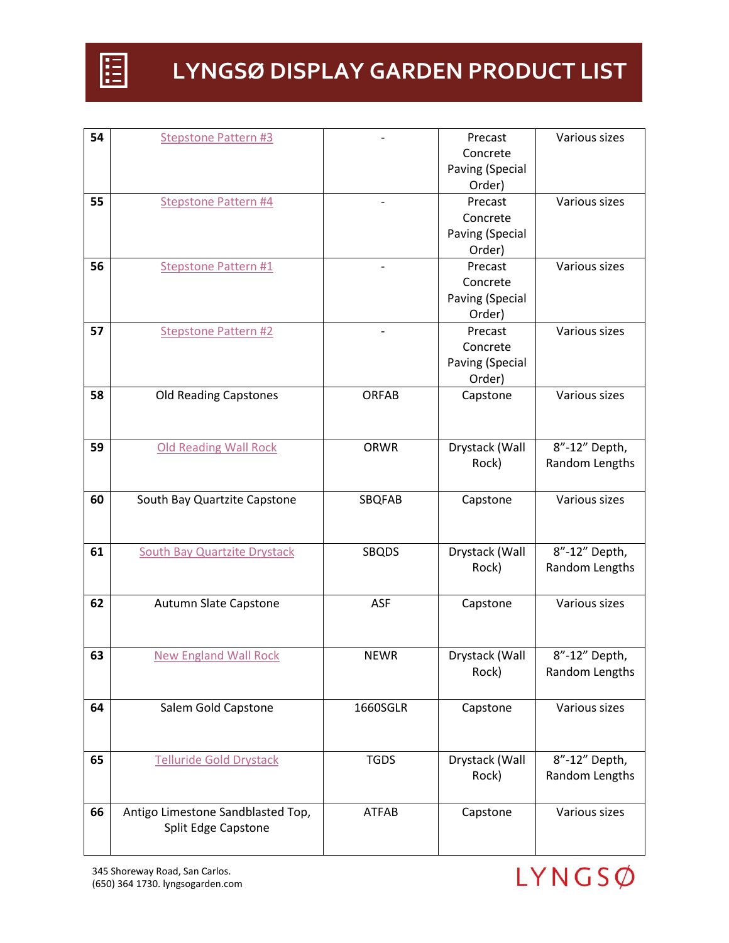

| 54 | <b>Stepstone Pattern #3</b>         |              | Precast         | Various sizes  |
|----|-------------------------------------|--------------|-----------------|----------------|
|    |                                     |              | Concrete        |                |
|    |                                     |              | Paving (Special |                |
|    |                                     |              | Order)          |                |
| 55 | <b>Stepstone Pattern #4</b>         |              | Precast         | Various sizes  |
|    |                                     |              | Concrete        |                |
|    |                                     |              | Paving (Special |                |
|    |                                     |              | Order)          |                |
| 56 | <b>Stepstone Pattern #1</b>         |              | Precast         | Various sizes  |
|    |                                     |              | Concrete        |                |
|    |                                     |              | Paving (Special |                |
|    |                                     |              | Order)          |                |
| 57 | <b>Stepstone Pattern #2</b>         |              | Precast         | Various sizes  |
|    |                                     |              | Concrete        |                |
|    |                                     |              | Paving (Special |                |
|    |                                     |              | Order)          |                |
| 58 | <b>Old Reading Capstones</b>        | <b>ORFAB</b> | Capstone        | Various sizes  |
|    |                                     |              |                 |                |
|    |                                     |              |                 |                |
| 59 | <b>Old Reading Wall Rock</b>        | ORWR         | Drystack (Wall  | 8"-12" Depth,  |
|    |                                     |              | Rock)           | Random Lengths |
|    |                                     |              |                 |                |
| 60 | South Bay Quartzite Capstone        | SBQFAB       | Capstone        | Various sizes  |
|    |                                     |              |                 |                |
|    |                                     |              |                 |                |
| 61 | <b>South Bay Quartzite Drystack</b> | <b>SBQDS</b> | Drystack (Wall  | 8"-12" Depth,  |
|    |                                     |              |                 |                |
|    |                                     |              |                 |                |
|    |                                     |              | Rock)           | Random Lengths |
|    |                                     |              |                 |                |
| 62 | Autumn Slate Capstone               | <b>ASF</b>   | Capstone        | Various sizes  |
|    |                                     |              |                 |                |
|    |                                     |              |                 |                |
| 63 | <b>New England Wall Rock</b>        | <b>NEWR</b>  | Drystack (Wall  | 8"-12" Depth,  |
|    |                                     |              | Rock)           | Random Lengths |
|    |                                     |              |                 |                |
| 64 | Salem Gold Capstone                 | 1660SGLR     | Capstone        | Various sizes  |
|    |                                     |              |                 |                |
|    |                                     |              |                 |                |
| 65 | <b>Telluride Gold Drystack</b>      | <b>TGDS</b>  | Drystack (Wall  | 8"-12" Depth,  |
|    |                                     |              | Rock)           | Random Lengths |
|    |                                     |              |                 |                |
| 66 | Antigo Limestone Sandblasted Top,   | <b>ATFAB</b> | Capstone        | Various sizes  |
|    | Split Edge Capstone                 |              |                 |                |

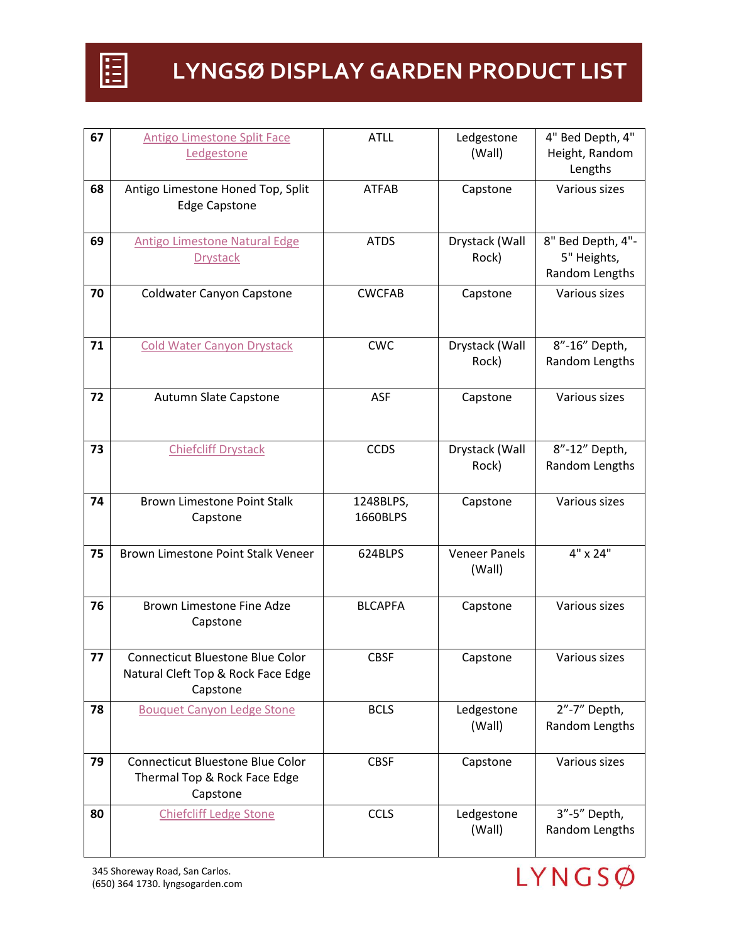

| 67 | <b>Antigo Limestone Split Face</b><br>Ledgestone                                    | <b>ATLL</b>           | Ledgestone<br>(Wall)           | 4" Bed Depth, 4"<br>Height, Random                 |
|----|-------------------------------------------------------------------------------------|-----------------------|--------------------------------|----------------------------------------------------|
|    |                                                                                     |                       |                                | Lengths                                            |
| 68 | Antigo Limestone Honed Top, Split<br><b>Edge Capstone</b>                           | <b>ATFAB</b>          | Capstone                       | Various sizes                                      |
| 69 | <b>Antigo Limestone Natural Edge</b><br><b>Drystack</b>                             | <b>ATDS</b>           | Drystack (Wall<br>Rock)        | 8" Bed Depth, 4"-<br>5" Heights,<br>Random Lengths |
| 70 | Coldwater Canyon Capstone                                                           | <b>CWCFAB</b>         | Capstone                       | Various sizes                                      |
| 71 | <b>Cold Water Canyon Drystack</b>                                                   | <b>CWC</b>            | Drystack (Wall<br>Rock)        | 8"-16" Depth,<br>Random Lengths                    |
| 72 | Autumn Slate Capstone                                                               | <b>ASF</b>            | Capstone                       | Various sizes                                      |
| 73 | <b>Chiefcliff Drystack</b>                                                          | <b>CCDS</b>           | Drystack (Wall<br>Rock)        | 8"-12" Depth,<br>Random Lengths                    |
| 74 | <b>Brown Limestone Point Stalk</b><br>Capstone                                      | 1248BLPS,<br>1660BLPS | Capstone                       | Various sizes                                      |
| 75 | Brown Limestone Point Stalk Veneer                                                  | 624BLPS               | <b>Veneer Panels</b><br>(Wall) | 4" x 24"                                           |
| 76 | Brown Limestone Fine Adze<br>Capstone                                               | <b>BLCAPFA</b>        | Capstone                       | Various sizes                                      |
| 77 | Connecticut Bluestone Blue Color<br>Natural Cleft Top & Rock Face Edge<br>Capstone  | <b>CBSF</b>           | Capstone                       | Various sizes                                      |
| 78 | <b>Bouquet Canyon Ledge Stone</b>                                                   | <b>BCLS</b>           | Ledgestone<br>(Wall)           | 2"-7" Depth,<br>Random Lengths                     |
| 79 | <b>Connecticut Bluestone Blue Color</b><br>Thermal Top & Rock Face Edge<br>Capstone | <b>CBSF</b>           | Capstone                       | Various sizes                                      |
| 80 | <b>Chiefcliff Ledge Stone</b>                                                       | <b>CCLS</b>           | Ledgestone<br>(Wall)           | 3"-5" Depth,<br>Random Lengths                     |

345 Shoreway Road, San Carlos. (650) 364 1730. lyngsogarden.com